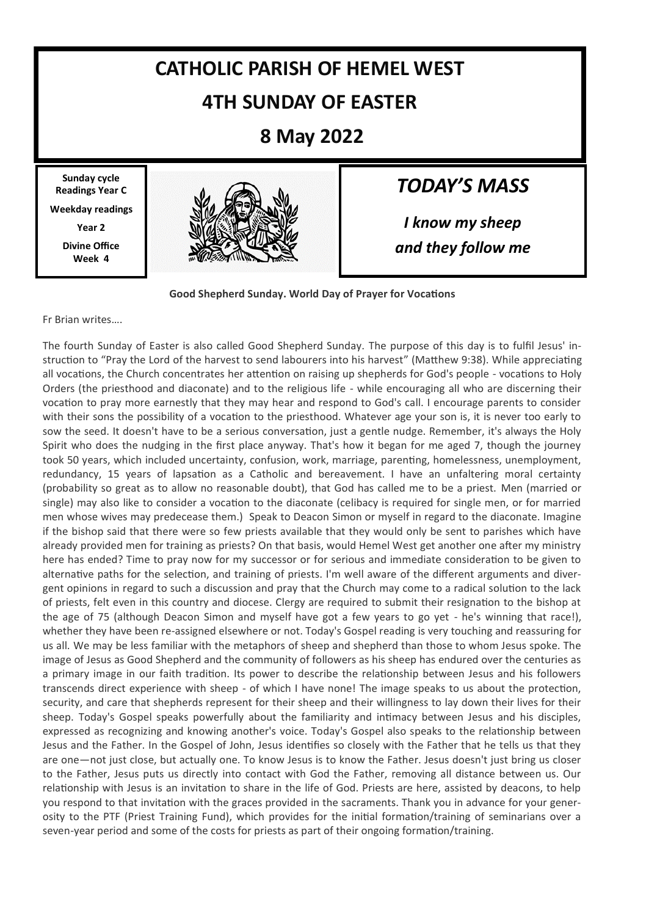# **CATHOLIC PARISH OF HEMEL WEST 4TH SUNDAY OF EASTER**

## **8 May 2022**

**Sunday cycle Readings Year C Weekday readings Year 2 Divine Office Week 4**



## *TODAY'S MASS*

*I know my sheep and they follow me*

**Good Shepherd Sunday. World Day of Prayer for Vocations**

Fr Brian writes….

The fourth Sunday of Easter is also called Good Shepherd Sunday. The purpose of this day is to fulfil Jesus' instruction to "Pray the Lord of the harvest to send labourers into his harvest" (Matthew 9:38). While appreciating all vocations, the Church concentrates her attention on raising up shepherds for God's people - vocations to Holy Orders (the priesthood and diaconate) and to the religious life - while encouraging all who are discerning their vocation to pray more earnestly that they may hear and respond to God's call. I encourage parents to consider with their sons the possibility of a vocation to the priesthood. Whatever age your son is, it is never too early to sow the seed. It doesn't have to be a serious conversation, just a gentle nudge. Remember, it's always the Holy Spirit who does the nudging in the first place anyway. That's how it began for me aged 7, though the journey took 50 years, which included uncertainty, confusion, work, marriage, parenting, homelessness, unemployment, redundancy, 15 years of lapsation as a Catholic and bereavement. I have an unfaltering moral certainty (probability so great as to allow no reasonable doubt), that God has called me to be a priest. Men (married or single) may also like to consider a vocation to the diaconate (celibacy is required for single men, or for married men whose wives may predecease them.) Speak to Deacon Simon or myself in regard to the diaconate. Imagine if the bishop said that there were so few priests available that they would only be sent to parishes which have already provided men for training as priests? On that basis, would Hemel West get another one after my ministry here has ended? Time to pray now for my successor or for serious and immediate consideration to be given to alternative paths for the selection, and training of priests. I'm well aware of the different arguments and divergent opinions in regard to such a discussion and pray that the Church may come to a radical solution to the lack of priests, felt even in this country and diocese. Clergy are required to submit their resignation to the bishop at the age of 75 (although Deacon Simon and myself have got a few years to go yet - he's winning that race!), whether they have been re-assigned elsewhere or not. Today's Gospel reading is very touching and reassuring for us all. We may be less familiar with the metaphors of sheep and shepherd than those to whom Jesus spoke. The image of Jesus as Good Shepherd and the community of followers as his sheep has endured over the centuries as a primary image in our faith tradition. Its power to describe the relationship between Jesus and his followers transcends direct experience with sheep - of which I have none! The image speaks to us about the protection, security, and care that shepherds represent for their sheep and their willingness to lay down their lives for their sheep. Today's Gospel speaks powerfully about the familiarity and intimacy between Jesus and his disciples, expressed as recognizing and knowing another's voice. Today's Gospel also speaks to the relationship between Jesus and the Father. In the Gospel of John, Jesus identifies so closely with the Father that he tells us that they are one—not just close, but actually one. To know Jesus is to know the Father. Jesus doesn't just bring us closer to the Father, Jesus puts us directly into contact with God the Father, removing all distance between us. Our relationship with Jesus is an invitation to share in the life of God. Priests are here, assisted by deacons, to help you respond to that invitation with the graces provided in the sacraments. Thank you in advance for your generosity to the PTF (Priest Training Fund), which provides for the initial formation/training of seminarians over a seven-year period and some of the costs for priests as part of their ongoing formation/training.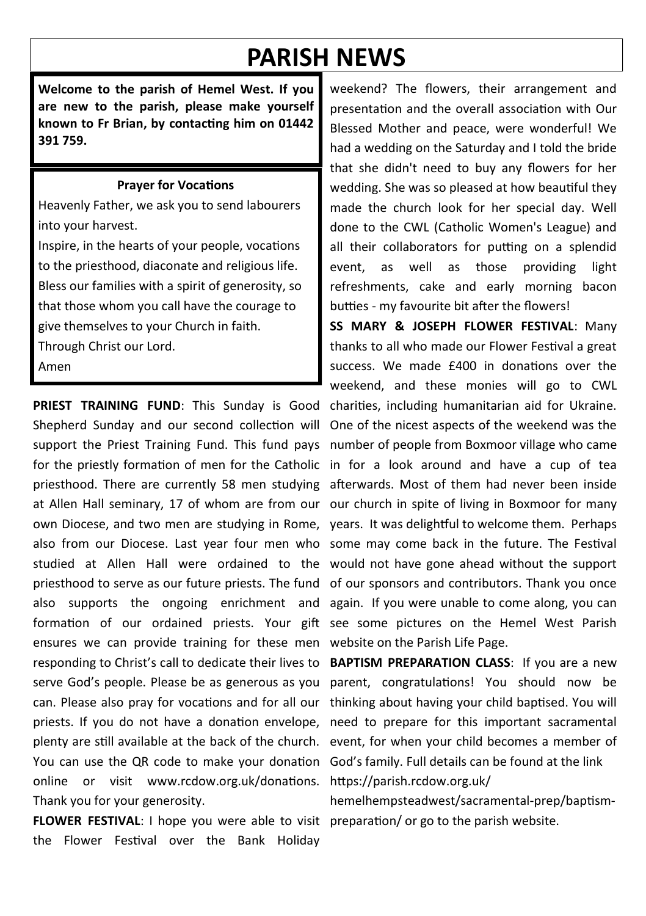# **PARISH NEWS**

**Welcome to the parish of Hemel West. If you are new to the parish, please make yourself known to Fr Brian, by contacting him on 01442 391 759.**

#### **Prayer for Vocations**

Heavenly Father, we ask you to send labourers into your harvest.

Inspire, in the hearts of your people, vocations to the priesthood, diaconate and religious life. Bless our families with a spirit of generosity, so that those whom you call have the courage to give themselves to your Church in faith. Through Christ our Lord.

Amen

**PRIEST TRAINING FUND**: This Sunday is Good charities, including humanitarian aid for Ukraine. Shepherd Sunday and our second collection will One of the nicest aspects of the weekend was the support the Priest Training Fund. This fund pays number of people from Boxmoor village who came for the priestly formation of men for the Catholic in for a look around and have a cup of tea priesthood. There are currently 58 men studying afterwards. Most of them had never been inside at Allen Hall seminary, 17 of whom are from our our church in spite of living in Boxmoor for many own Diocese, and two men are studying in Rome, years. It was delightful to welcome them. Perhaps also from our Diocese. Last year four men who some may come back in the future. The Festival studied at Allen Hall were ordained to the would not have gone ahead without the support priesthood to serve as our future priests. The fund of our sponsors and contributors. Thank you once also supports the ongoing enrichment and again. If you were unable to come along, you can formation of our ordained priests. Your gift see some pictures on the Hemel West Parish ensures we can provide training for these men website on the Parish Life Page. responding to Christ's call to dedicate their lives to **BAPTISM PREPARATION CLASS**: If you are a new serve God's people. Please be as generous as you can. Please also pray for vocations and for all our priests. If you do not have a donation envelope, plenty are still available at the back of the church. event, for when your child becomes a member of You can use the QR code to make your donation God's family. Full details can be found at the link online or visit www.rcdow.org.uk/donations. Thank you for your generosity.

FLOWER FESTIVAL: I hope you were able to visit preparation/ or go to the parish website. the Flower Festival over the Bank Holiday

weekend? The flowers, their arrangement and presentation and the overall association with Our Blessed Mother and peace, were wonderful! We had a wedding on the Saturday and I told the bride that she didn't need to buy any flowers for her wedding. She was so pleased at how beautiful they made the church look for her special day. Well done to the CWL (Catholic Women's League) and all their collaborators for putting on a splendid event, as well as those providing light refreshments, cake and early morning bacon butties - my favourite bit after the flowers!

**SS MARY & JOSEPH FLOWER FESTIVAL**: Many thanks to all who made our Flower Festival a great success. We made £400 in donations over the weekend, and these monies will go to CWL

parent, congratulations! You should now be thinking about having your child baptised. You will need to prepare for this important sacramental https://parish.rcdow.org.uk/

hemelhempsteadwest/sacramental-prep/baptism-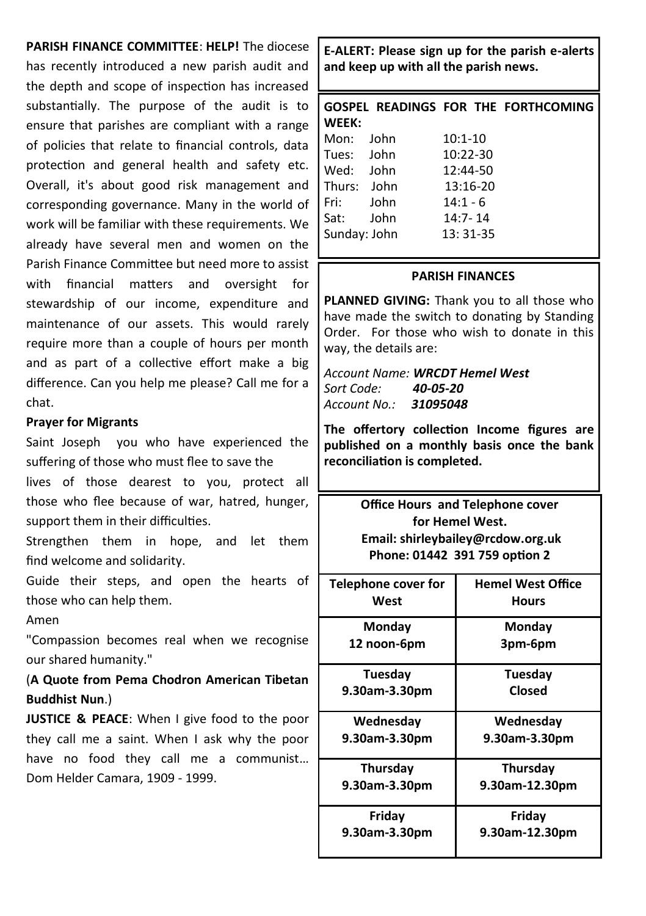#### **PARISH FINANCE COMMITTEE**: **HELP!** The diocese

has recently introduced a new parish audit and the depth and scope of inspection has increased substantially. The purpose of the audit is to ensure that parishes are compliant with a range of policies that relate to financial controls, data protection and general health and safety etc. Overall, it's about good risk management and corresponding governance. Many in the world of work will be familiar with these requirements. We already have several men and women on the Parish Finance Committee but need more to assist with financial matters and oversight for stewardship of our income, expenditure and maintenance of our assets. This would rarely require more than a couple of hours per month and as part of a collective effort make a big difference. Can you help me please? Call me for a chat.

#### **Prayer for Migrants**

Saint Joseph you who have experienced the suffering of those who must flee to save the

lives of those dearest to you, protect all those who flee because of war, hatred, hunger, support them in their difficulties.

Strengthen them in hope, and let them find welcome and solidarity.

Guide their steps, and open the hearts of those who can help them.

Amen

"Compassion becomes real when we recognise our shared humanity."

(**A Quote from Pema Chodron American Tibetan Buddhist Nun**.)

**JUSTICE & PEACE**: When I give food to the poor they call me a saint. When I ask why the poor have no food they call me a communist… Dom Helder Camara, 1909 - 1999.

**E-ALERT: Please sign up for the parish e-alerts and keep up with all the parish news.** 

|              |  |              |  | GOSPEL READINGS FOR THE FORTHCOMING |
|--------------|--|--------------|--|-------------------------------------|
| WEEK:        |  |              |  |                                     |
| Mon: John    |  | $10:1 - 10$  |  |                                     |
| Tues: John   |  | $10:22 - 30$ |  |                                     |
| Wed: John    |  | 12:44-50     |  |                                     |
| Thurs: John  |  | 13:16-20     |  |                                     |
| Fri: John    |  | $14:1 - 6$   |  |                                     |
| Sat: John    |  | $14:7 - 14$  |  |                                     |
| Sunday: John |  | 13: 31-35    |  |                                     |
|              |  |              |  |                                     |

#### **PARISH FINANCES**

**PLANNED GIVING:** Thank you to all those who have made the switch to donating by Standing Order. For those who wish to donate in this way, the details are:

*Account Name: WRCDT Hemel West Sort Code: 40-05-20 Account No.: 31095048*

**The offertory collection Income figures are published on a monthly basis once the bank reconciliation is completed.**

> **Office Hours and Telephone cover for Hemel West. Email: shirleybailey@rcdow.org.uk Phone: 01442 391 759 option 2**

| Telephone cover for<br>West | <b>Hemel West Office</b><br><b>Hours</b> |
|-----------------------------|------------------------------------------|
| Monday                      | Mondav                                   |
| 12 noon-6pm                 | 3pm-6pm                                  |
| Tuesday                     | Tuesday                                  |
| 9.30am-3.30pm               | Closed                                   |
| Wednesday                   | Wednesday                                |
| 9.30am-3.30pm               | 9.30am-3.30pm                            |
| Thursday                    | <b>Thursday</b>                          |
| 9.30am-3.30pm               | 9.30am-12.30pm                           |
| Friday                      | Friday                                   |
| 9.30am-3.30pm               | 9.30am-12.30pm                           |